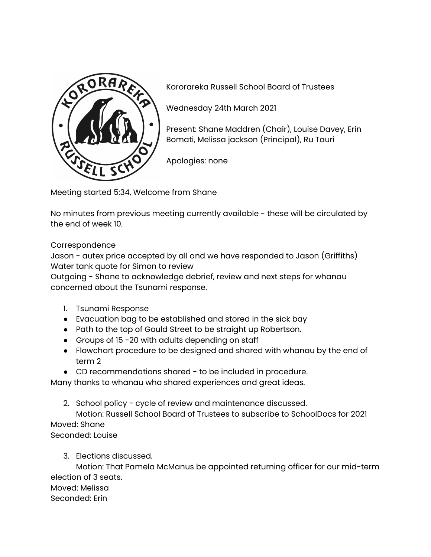

Kororareka Russell School Board of Trustees

Wednesday 24th March 2021

Present: Shane Maddren (Chair), Louise Davey, Erin Bomati, Melissa jackson (Principal), Ru Tauri

Apologies: none

Meeting started 5:34, Welcome from Shane

No minutes from previous meeting currently available - these will be circulated by the end of week 10.

## Correspondence

Jason - autex price accepted by all and we have responded to Jason (Griffiths) Water tank quote for Simon to review

Outgoing - Shane to acknowledge debrief, review and next steps for whanau concerned about the Tsunami response.

- 1. Tsunami Response
- Evacuation bag to be established and stored in the sick bay
- Path to the top of Gould Street to be straight up Robertson.
- Groups of 15 -20 with adults depending on staff
- Flowchart procedure to be designed and shared with whanau by the end of term 2
- CD recommendations shared to be included in procedure.

Many thanks to whanau who shared experiences and great ideas.

2. School policy - cycle of review and maintenance discussed.

Motion: Russell School Board of Trustees to subscribe to SchoolDocs for 2021 Moved: Shane

Seconded: Louise

3. Elections discussed.

Motion: That Pamela McManus be appointed returning officer for our mid-term election of 3 seats.

Moved: Melissa

Seconded: Erin